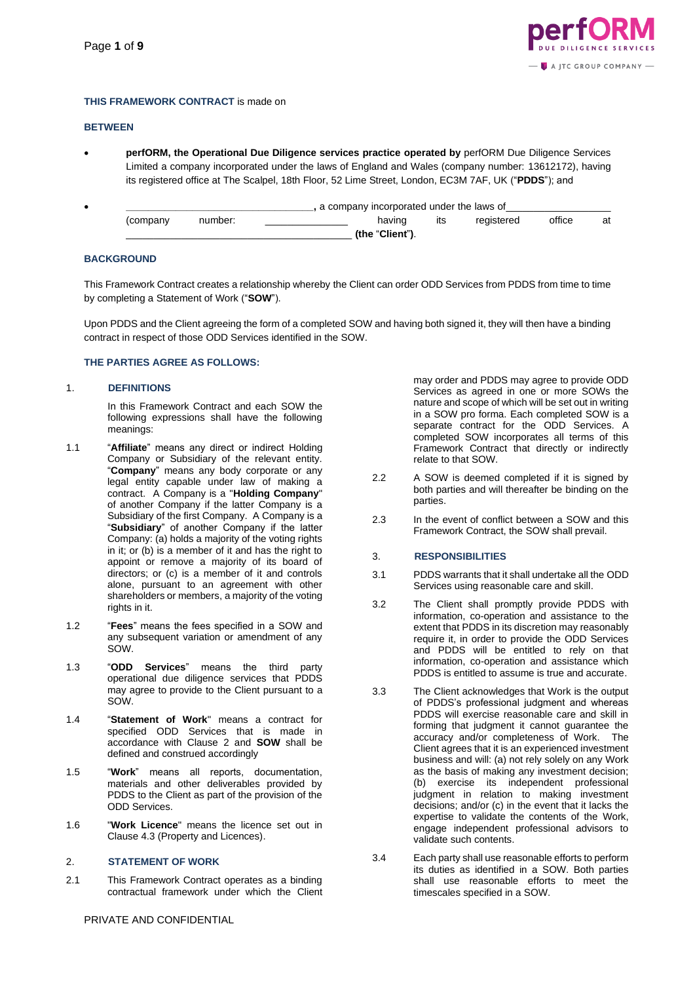

# **THIS FRAMEWORK CONTRACT** is made on

# **BETWEEN**

• **perfORM, the Operational Due Diligence services practice operated by** perfORM Due Diligence Services Limited a company incorporated under the laws of England and Wales (company number: 13612172), having its registered office at The Scalpel, 18th Floor, 52 Lime Street, London, EC3M 7AF, UK ("**PDDS**"); and

| , a company incorporated under the laws of |         |  |                 |     |            |        |    |
|--------------------------------------------|---------|--|-----------------|-----|------------|--------|----|
| (company                                   | number: |  | having          | ıts | registered | office | at |
|                                            |         |  | (the "Client"). |     |            |        |    |

# **BACKGROUND**

This Framework Contract creates a relationship whereby the Client can order ODD Services from PDDS from time to time by completing a Statement of Work ("**SOW**").

Upon PDDS and the Client agreeing the form of a completed SOW and having both signed it, they will then have a binding contract in respect of those ODD Services identified in the SOW.

# **THE PARTIES AGREE AS FOLLOWS:**

# 1. **DEFINITIONS**

In this Framework Contract and each SOW the following expressions shall have the following meanings:

- 1.1 "**Affiliate**" means any direct or indirect Holding Company or Subsidiary of the relevant entity. "**Company**" means any body corporate or any legal entity capable under law of making a contract. A Company is a "**Holding Company**" of another Company if the latter Company is a Subsidiary of the first Company. A Company is a "**Subsidiary**" of another Company if the latter Company: (a) holds a majority of the voting rights in it; or (b) is a member of it and has the right to appoint or remove a majority of its board of directors; or (c) is a member of it and controls alone, pursuant to an agreement with other shareholders or members, a majority of the voting rights in it.
- 1.2 "**Fees**" means the fees specified in a SOW and any subsequent variation or amendment of any SOW.
- 1.3 "**ODD Services**" means the third party operational due diligence services that PDDS may agree to provide to the Client pursuant to a SOW.
- 1.4 "**Statement of Work**" means a contract for specified ODD Services that is made in accordance with Clause 2 and **SOW** shall be defined and construed accordingly
- 1.5 "**Work**" means all reports, documentation, materials and other deliverables provided by PDDS to the Client as part of the provision of the ODD Services.
- 1.6 "**Work Licence**" means the licence set out in Clause 4.3 (Property and Licences).

# 2. **STATEMENT OF WORK**

2.1 This Framework Contract operates as a binding contractual framework under which the Client

may order and PDDS may agree to provide ODD Services as agreed in one or more SOWs the nature and scope of which will be set out in writing in a SOW pro forma. Each completed SOW is a separate contract for the ODD Services. A completed SOW incorporates all terms of this Framework Contract that directly or indirectly relate to that SOW.

- 2.2 A SOW is deemed completed if it is signed by both parties and will thereafter be binding on the parties.
- 2.3 In the event of conflict between a SOW and this Framework Contract, the SOW shall prevail.

### 3. **RESPONSIBILITIES**

- 3.1 PDDS warrants that it shall undertake all the ODD Services using reasonable care and skill.
- 3.2 The Client shall promptly provide PDDS with information, co-operation and assistance to the extent that PDDS in its discretion may reasonably require it, in order to provide the ODD Services and PDDS will be entitled to rely on that information, co-operation and assistance which PDDS is entitled to assume is true and accurate.
- 3.3 The Client acknowledges that Work is the output of PDDS's professional judgment and whereas PDDS will exercise reasonable care and skill in forming that judgment it cannot guarantee the accuracy and/or completeness of Work. The Client agrees that it is an experienced investment business and will: (a) not rely solely on any Work as the basis of making any investment decision; (b) exercise its independent professional judgment in relation to making investment decisions; and/or (c) in the event that it lacks the expertise to validate the contents of the Work, engage independent professional advisors to validate such contents.
- 3.4 Each party shall use reasonable efforts to perform its duties as identified in a SOW. Both parties shall use reasonable efforts to meet the timescales specified in a SOW.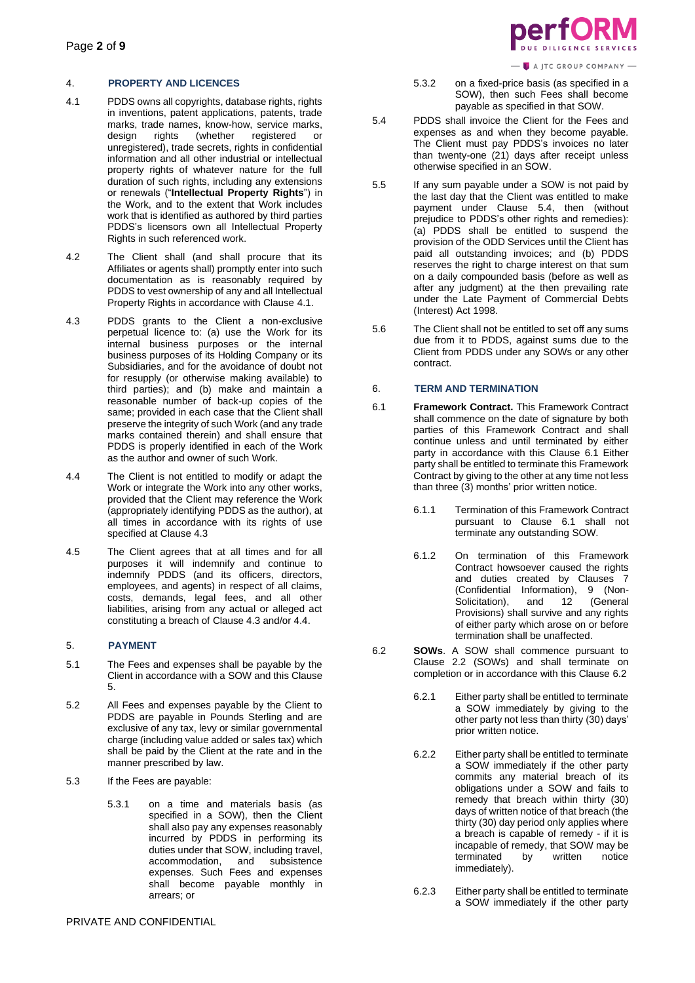A JTC GROUP COMPANY -

# 4. **PROPERTY AND LICENCES**

- 4.1 PDDS owns all copyrights, database rights, rights in inventions, patent applications, patents, trade marks, trade names, know-how, service marks,<br>design rights (whether registered or design rights (whether registered or unregistered), trade secrets, rights in confidential information and all other industrial or intellectual property rights of whatever nature for the full duration of such rights, including any extensions or renewals ("**Intellectual Property Rights**") in the Work, and to the extent that Work includes work that is identified as authored by third parties PDDS's licensors own all Intellectual Property Rights in such referenced work.
- 4.2 The Client shall (and shall procure that its Affiliates or agents shall) promptly enter into such documentation as is reasonably required by PDDS to vest ownership of any and all Intellectual Property Rights in accordance with Clause 4.1.
- 4.3 PDDS grants to the Client a non-exclusive perpetual licence to: (a) use the Work for its internal business purposes or the internal business purposes of its Holding Company or its Subsidiaries, and for the avoidance of doubt not for resupply (or otherwise making available) to third parties); and (b) make and maintain a reasonable number of back-up copies of the same; provided in each case that the Client shall preserve the integrity of such Work (and any trade marks contained therein) and shall ensure that PDDS is properly identified in each of the Work as the author and owner of such Work.
- 4.4 The Client is not entitled to modify or adapt the Work or integrate the Work into any other works, provided that the Client may reference the Work (appropriately identifying PDDS as the author), at all times in accordance with its rights of use specified at Clause 4.3
- 4.5 The Client agrees that at all times and for all purposes it will indemnify and continue to indemnify PDDS (and its officers, directors, employees, and agents) in respect of all claims, costs, demands, legal fees, and all other liabilities, arising from any actual or alleged act constituting a breach of Clause 4.3 and/or 4.4.

# 5. **PAYMENT**

- 5.1 The Fees and expenses shall be payable by the Client in accordance with a SOW and this Clause 5.
- 5.2 All Fees and expenses payable by the Client to PDDS are payable in Pounds Sterling and are exclusive of any tax, levy or similar governmental charge (including value added or sales tax) which shall be paid by the Client at the rate and in the manner prescribed by law.
- 5.3 If the Fees are payable:
	- 5.3.1 on a time and materials basis (as specified in a SOW), then the Client shall also pay any expenses reasonably incurred by PDDS in performing its duties under that SOW, including travel, accommodation, and subsistence expenses. Such Fees and expenses shall become payable monthly in arrears; or
- 5.3.2 on a fixed-price basis (as specified in a SOW), then such Fees shall become payable as specified in that SOW.
- 5.4 PDDS shall invoice the Client for the Fees and expenses as and when they become payable. The Client must pay PDDS's invoices no later than twenty-one  $(21)$  days after receipt unless otherwise specified in an SOW.
- 5.5 If any sum payable under a SOW is not paid by the last day that the Client was entitled to make payment under Clause 5.4, then (without prejudice to PDDS's other rights and remedies): (a) PDDS shall be entitled to suspend the provision of the ODD Services until the Client has paid all outstanding invoices; and (b) PDDS reserves the right to charge interest on that sum on a daily compounded basis (before as well as after any judgment) at the then prevailing rate under the Late Payment of Commercial Debts (Interest) Act 1998.
- 5.6 The Client shall not be entitled to set off any sums due from it to PDDS, against sums due to the Client from PDDS under any SOWs or any other contract.

# 6. **TERM AND TERMINATION**

- 6.1 **Framework Contract.** This Framework Contract shall commence on the date of signature by both parties of this Framework Contract and shall continue unless and until terminated by either party in accordance with this Clause 6.1 Either party shall be entitled to terminate this Framework Contract by giving to the other at any time not less than three (3) months' prior written notice.
	- 6.1.1 Termination of this Framework Contract pursuant to Clause 6.1 shall not terminate any outstanding SOW.
	- 6.1.2 On termination of this Framework Contract howsoever caused the rights and duties created by Clauses 7 (Confidential Information), 9 (Non-Solicitation), and 12 (General Provisions) shall survive and any rights of either party which arose on or before termination shall be unaffected.
- 6.2 **SOWs**. A SOW shall commence pursuant to Clause 2.2 (SOWs) and shall terminate on completion or in accordance with this Clause 6.2
	- 6.2.1 Either party shall be entitled to terminate a SOW immediately by giving to the other party not less than thirty (30) days' prior written notice.
	- 6.2.2 Either party shall be entitled to terminate a SOW immediately if the other party commits any material breach of its obligations under a SOW and fails to remedy that breach within thirty (30) days of written notice of that breach (the thirty (30) day period only applies where a breach is capable of remedy - if it is incapable of remedy, that SOW may be terminated by written notice immediately).
	- 6.2.3 Either party shall be entitled to terminate a SOW immediately if the other party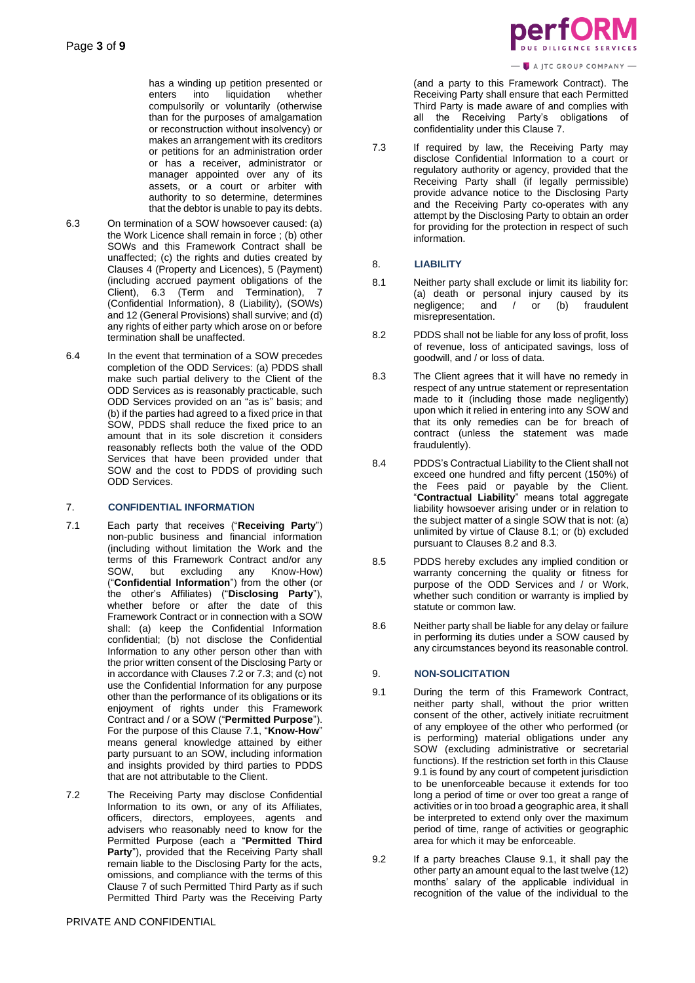has a winding up petition presented or<br>enters into liquidation whether enters into liquidation compulsorily or voluntarily (otherwise than for the purposes of amalgamation or reconstruction without insolvency) or makes an arrangement with its creditors or petitions for an administration order or has a receiver, administrator or manager appointed over any of its assets, or a court or arbiter with authority to so determine, determines that the debtor is unable to pay its debts.

- 6.3 On termination of a SOW howsoever caused: (a) the Work Licence shall remain in force ; (b) other SOWs and this Framework Contract shall be unaffected; (c) the rights and duties created by Clauses 4 (Property and Licences), 5 (Payment) (including accrued payment obligations of the Client), 6.3 (Term and Termination), 7 (Confidential Information), 8 (Liability), (SOWs) and 12 (General Provisions) shall survive; and (d) any rights of either party which arose on or before termination shall be unaffected.
- 6.4 In the event that termination of a SOW precedes completion of the ODD Services: (a) PDDS shall make such partial delivery to the Client of the ODD Services as is reasonably practicable, such ODD Services provided on an "as is" basis; and (b) if the parties had agreed to a fixed price in that SOW, PDDS shall reduce the fixed price to an amount that in its sole discretion it considers reasonably reflects both the value of the ODD Services that have been provided under that SOW and the cost to PDDS of providing such ODD Services.

# 7. **CONFIDENTIAL INFORMATION**

- 7.1 Each party that receives ("**Receiving Party**") non-public business and financial information (including without limitation the Work and the terms of this Framework Contract and/or any SOW, but excluding any Know-How) ("**Confidential Information**") from the other (or the other's Affiliates) ("**Disclosing Party**"), whether before or after the date of this Framework Contract or in connection with a SOW shall: (a) keep the Confidential Information confidential; (b) not disclose the Confidential Information to any other person other than with the prior written consent of the Disclosing Party or in accordance with Clauses 7.2 or 7.3; and (c) not use the Confidential Information for any purpose other than the performance of its obligations or its enjoyment of rights under this Framework Contract and / or a SOW ("**Permitted Purpose**"). For the purpose of this Clause 7.1, "**Know-How**" means general knowledge attained by either party pursuant to an SOW, including information and insights provided by third parties to PDDS that are not attributable to the Client.
- 7.2 The Receiving Party may disclose Confidential Information to its own, or any of its Affiliates, officers, directors, employees, agents and advisers who reasonably need to know for the Permitted Purpose (each a "**Permitted Third Party**"), provided that the Receiving Party shall remain liable to the Disclosing Party for the acts, omissions, and compliance with the terms of this Clause 7 of such Permitted Third Party as if such Permitted Third Party was the Receiving Party

```
A JTC GROUP COMPANY -
```
(and a party to this Framework Contract). The Receiving Party shall ensure that each Permitted Third Party is made aware of and complies with all the Receiving Party's obligations of confidentiality under this Clause 7.

7.3 If required by law, the Receiving Party may disclose Confidential Information to a court or regulatory authority or agency, provided that the Receiving Party shall (if legally permissible) provide advance notice to the Disclosing Party and the Receiving Party co-operates with any attempt by the Disclosing Party to obtain an order for providing for the protection in respect of such information.

# 8. **LIABILITY**

- 8.1 Neither party shall exclude or limit its liability for: (a) death or personal injury caused by its negligence; and / or (b) fraudulent misrepresentation.
- 8.2 PDDS shall not be liable for any loss of profit, loss of revenue, loss of anticipated savings, loss of goodwill, and / or loss of data.
- 8.3 The Client agrees that it will have no remedy in respect of any untrue statement or representation made to it (including those made negligently) upon which it relied in entering into any SOW and that its only remedies can be for breach of contract (unless the statement was made fraudulently).
- 8.4 PDDS's Contractual Liability to the Client shall not exceed one hundred and fifty percent (150%) of the Fees paid or payable by the Client. "**Contractual Liability**" means total aggregate liability howsoever arising under or in relation to the subject matter of a single SOW that is not: (a) unlimited by virtue of Clause 8.1; or (b) excluded pursuant to Clauses 8.2 and 8.3.
- 8.5 PDDS hereby excludes any implied condition or warranty concerning the quality or fitness for purpose of the ODD Services and / or Work, whether such condition or warranty is implied by statute or common law.
- 8.6 Neither party shall be liable for any delay or failure in performing its duties under a SOW caused by any circumstances beyond its reasonable control.

# 9. **NON-SOLICITATION**

- 9.1 During the term of this Framework Contract, neither party shall, without the prior written consent of the other, actively initiate recruitment of any employee of the other who performed (or is performing) material obligations under any SOW (excluding administrative or secretarial functions). If the restriction set forth in this Clause 9.1 is found by any court of competent jurisdiction to be unenforceable because it extends for too long a period of time or over too great a range of activities or in too broad a geographic area, it shall be interpreted to extend only over the maximum period of time, range of activities or geographic area for which it may be enforceable.
- 9.2 If a party breaches Clause 9.1, it shall pay the other party an amount equal to the last twelve (12) months' salary of the applicable individual in recognition of the value of the individual to the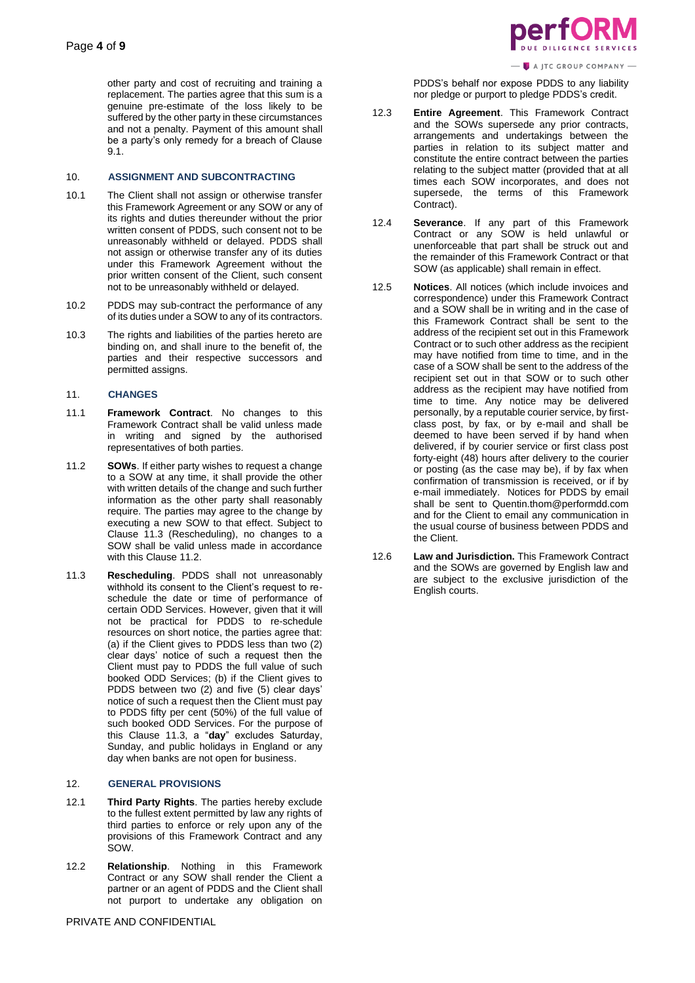other party and cost of recruiting and training a replacement. The parties agree that this sum is a genuine pre-estimate of the loss likely to be suffered by the other party in these circumstances and not a penalty. Payment of this amount shall be a party's only remedy for a breach of Clause 9.1.

# 10. **ASSIGNMENT AND SUBCONTRACTING**

- 10.1 The Client shall not assign or otherwise transfer this Framework Agreement or any SOW or any of its rights and duties thereunder without the prior written consent of PDDS, such consent not to be unreasonably withheld or delayed. PDDS shall not assign or otherwise transfer any of its duties under this Framework Agreement without the prior written consent of the Client, such consent not to be unreasonably withheld or delayed.
- 10.2 PDDS may sub-contract the performance of any of its duties under a SOW to any of its contractors.
- 10.3 The rights and liabilities of the parties hereto are binding on, and shall inure to the benefit of, the parties and their respective successors and permitted assigns.

### 11. **CHANGES**

- 11.1 **Framework Contract**. No changes to this Framework Contract shall be valid unless made in writing and signed by the authorised representatives of both parties.
- 11.2 **SOWs**. If either party wishes to request a change to a SOW at any time, it shall provide the other with written details of the change and such further information as the other party shall reasonably require. The parties may agree to the change by executing a new SOW to that effect. Subject to Clause 11.3 (Rescheduling), no changes to a SOW shall be valid unless made in accordance with this Clause 11.2.
- 11.3 **Rescheduling**. PDDS shall not unreasonably withhold its consent to the Client's request to reschedule the date or time of performance of certain ODD Services. However, given that it will not be practical for PDDS to re-schedule resources on short notice, the parties agree that: (a) if the Client gives to PDDS less than two (2) clear days' notice of such a request then the Client must pay to PDDS the full value of such booked ODD Services; (b) if the Client gives to PDDS between two (2) and five (5) clear days' notice of such a request then the Client must pay to PDDS fifty per cent (50%) of the full value of such booked ODD Services. For the purpose of this Clause 11.3, a "**day**" excludes Saturday, Sunday, and public holidays in England or any day when banks are not open for business.

### 12. **GENERAL PROVISIONS**

- 12.1 **Third Party Rights**. The parties hereby exclude to the fullest extent permitted by law any rights of third parties to enforce or rely upon any of the provisions of this Framework Contract and any SOW.
- 12.2 **Relationship**. Nothing in this Framework Contract or any SOW shall render the Client a partner or an agent of PDDS and the Client shall not purport to undertake any obligation on



A JTC GROUP COMPANY

PDDS's behalf nor expose PDDS to any liability nor pledge or purport to pledge PDDS's credit.

- 12.3 **Entire Agreement**. This Framework Contract and the SOWs supersede any prior contracts, arrangements and undertakings between the parties in relation to its subject matter and constitute the entire contract between the parties relating to the subject matter (provided that at all times each SOW incorporates, and does not supersede, the terms of this Framework Contract).
- 12.4 **Severance**. If any part of this Framework Contract or any SOW is held unlawful or unenforceable that part shall be struck out and the remainder of this Framework Contract or that SOW (as applicable) shall remain in effect.
- 12.5 **Notices**. All notices (which include invoices and correspondence) under this Framework Contract and a SOW shall be in writing and in the case of this Framework Contract shall be sent to the address of the recipient set out in this Framework Contract or to such other address as the recipient may have notified from time to time, and in the case of a SOW shall be sent to the address of the recipient set out in that SOW or to such other address as the recipient may have notified from time to time. Any notice may be delivered personally, by a reputable courier service, by firstclass post, by fax, or by e-mail and shall be deemed to have been served if by hand when delivered, if by courier service or first class post forty-eight (48) hours after delivery to the courier or posting (as the case may be), if by fax when confirmation of transmission is received, or if by e-mail immediately. Notices for PDDS by email shall be sent to Quentin.thom@performdd.com and for the Client to email any communication in the usual course of business between PDDS and the Client.
- 12.6 **Law and Jurisdiction.** This Framework Contract and the SOWs are governed by English law and are subject to the exclusive jurisdiction of the English courts.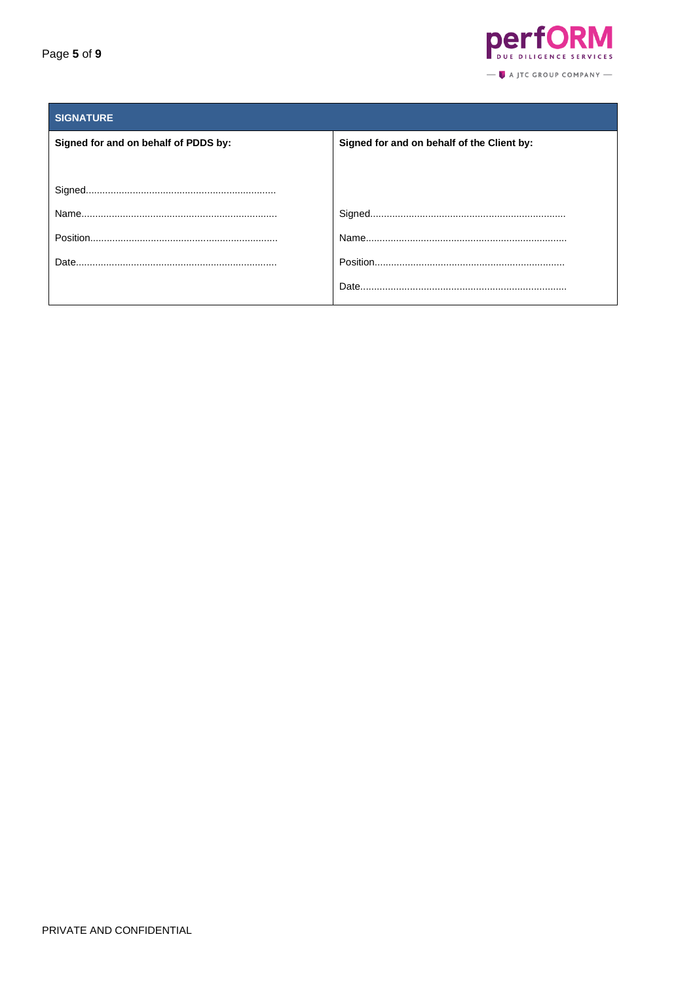

| <b>SIGNATURE</b>                     |                                            |
|--------------------------------------|--------------------------------------------|
| Signed for and on behalf of PDDS by: | Signed for and on behalf of the Client by: |
|                                      |                                            |
|                                      |                                            |
|                                      |                                            |
|                                      |                                            |
| Date.                                |                                            |
|                                      |                                            |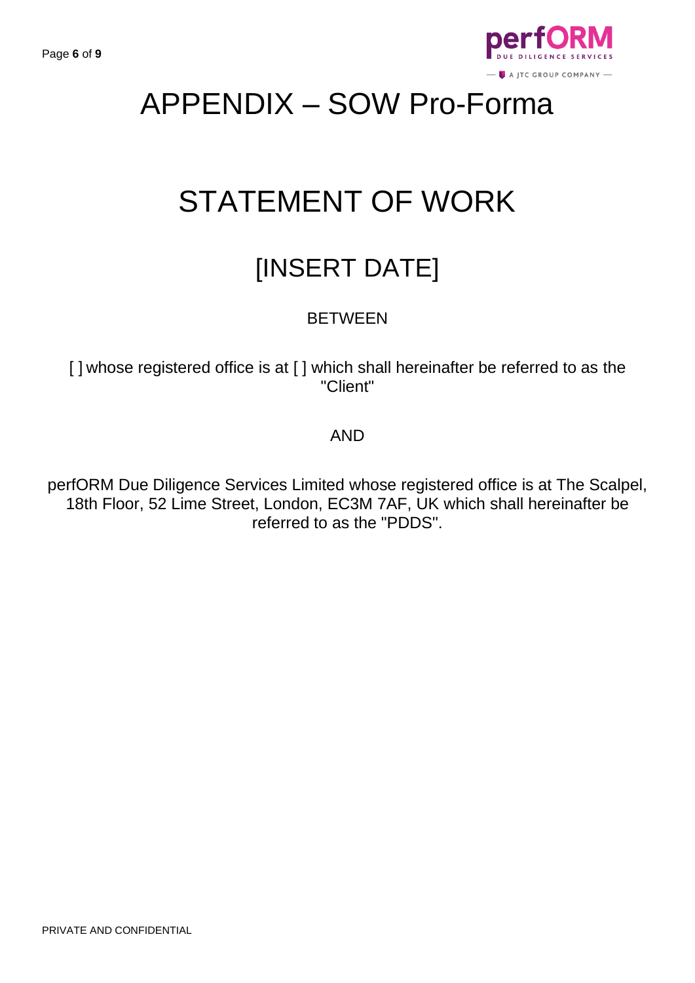

# APPENDIX – SOW Pro-Forma

# STATEMENT OF WORK

# [INSERT DATE]

# **BETWEEN**

[] whose registered office is at [] which shall hereinafter be referred to as the "Client"

# AND

perfORM Due Diligence Services Limited whose registered office is at The Scalpel, 18th Floor, 52 Lime Street, London, EC3M 7AF, UK which shall hereinafter be referred to as the "PDDS".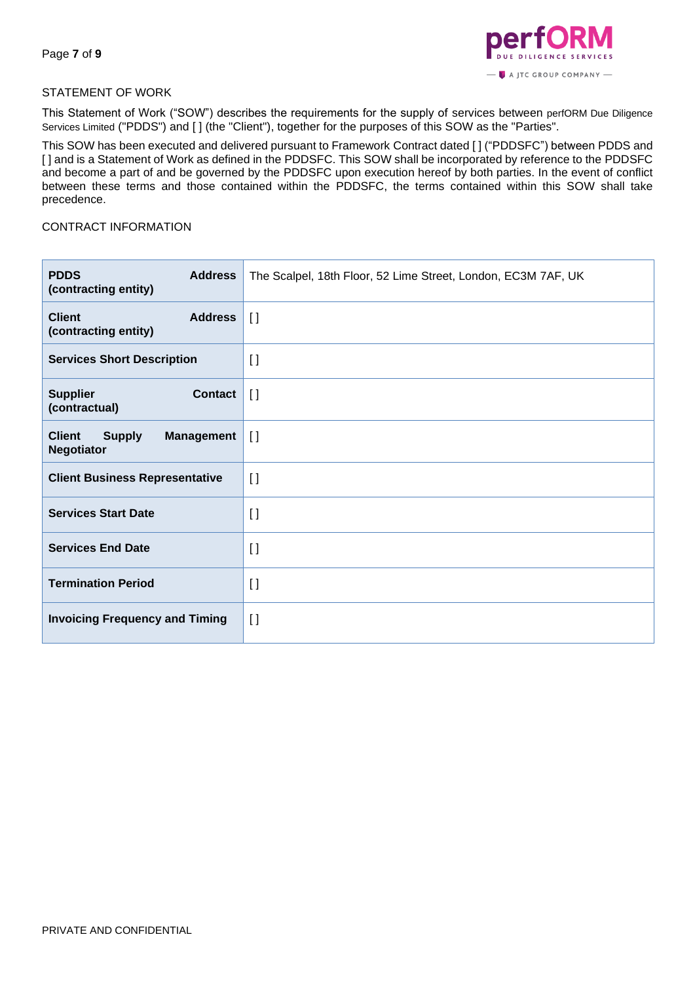

# STATEMENT OF WORK

This Statement of Work ("SOW") describes the requirements for the supply of services between perfORM Due Diligence Services Limited ("PDDS") and [] (the "Client"), together for the purposes of this SOW as the "Parties".

This SOW has been executed and delivered pursuant to Framework Contract dated [ ] ("PDDSFC") between PDDS and [ ] and is a Statement of Work as defined in the PDDSFC. This SOW shall be incorporated by reference to the PDDSFC and become a part of and be governed by the PDDSFC upon execution hereof by both parties. In the event of conflict between these terms and those contained within the PDDSFC, the terms contained within this SOW shall take precedence.

# CONTRACT INFORMATION

| <b>PDDS</b><br><b>Address</b><br>(contracting entity)                    | The Scalpel, 18th Floor, 52 Lime Street, London, EC3M 7AF, UK |
|--------------------------------------------------------------------------|---------------------------------------------------------------|
| <b>Client</b><br><b>Address</b><br>(contracting entity)                  | $\prod$                                                       |
| <b>Services Short Description</b>                                        | $\lceil$                                                      |
| <b>Supplier</b><br><b>Contact</b><br>(contractual)                       | $\left[\right]$                                               |
| <b>Client</b><br><b>Supply</b><br><b>Management</b><br><b>Negotiator</b> | $\prod$                                                       |
| <b>Client Business Representative</b>                                    | $\lceil$                                                      |
| <b>Services Start Date</b>                                               | $\lceil$                                                      |
| <b>Services End Date</b>                                                 | $\lceil$                                                      |
| <b>Termination Period</b>                                                | $\lceil$                                                      |
| <b>Invoicing Frequency and Timing</b>                                    | $\lceil$                                                      |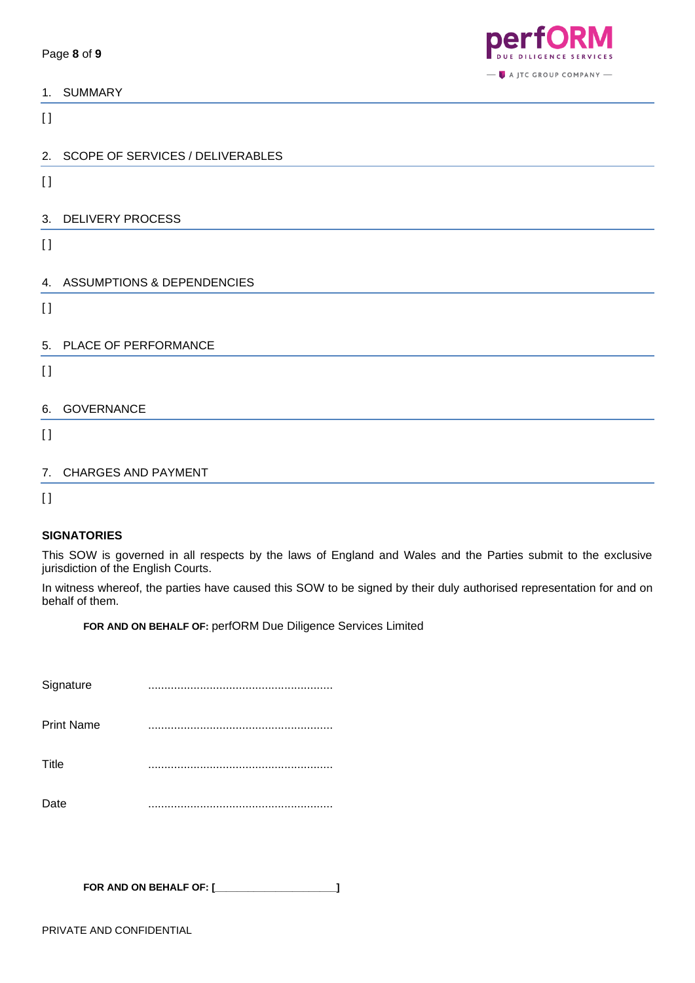

| <b>SUMMARY</b><br>1 |
|---------------------|
|---------------------|

 $\lceil$ 

|          | 2. SCOPE OF SERVICES / DELIVERABLES |
|----------|-------------------------------------|
| $\lceil$ |                                     |
|          |                                     |
|          | 3. DELIVERY PROCESS                 |
| $\lceil$ |                                     |
|          |                                     |
|          | 4. ASSUMPTIONS & DEPENDENCIES       |
| $\lceil$ |                                     |
|          |                                     |
|          | 5. PLACE OF PERFORMANCE             |
| $\lceil$ |                                     |
|          |                                     |
|          | 6. GOVERNANCE                       |
| $\lceil$ |                                     |
|          |                                     |
| 7.       | <b>CHARGES AND PAYMENT</b>          |

 $[ ]$ 

# **SIGNATORIES**

This SOW is governed in all respects by the laws of England and Wales and the Parties submit to the exclusive jurisdiction of the English Courts.

In witness whereof, the parties have caused this SOW to be signed by their duly authorised representation for and on behalf of them.

**FOR AND ON BEHALF OF:** perfORM Due Diligence Services Limited

| Signature         |  |
|-------------------|--|
| <b>Print Name</b> |  |
| Title             |  |
| Date              |  |

**FOR AND ON BEHALF OF: [\_\_\_\_\_\_\_\_\_\_\_\_\_\_\_\_\_\_\_\_\_\_]**